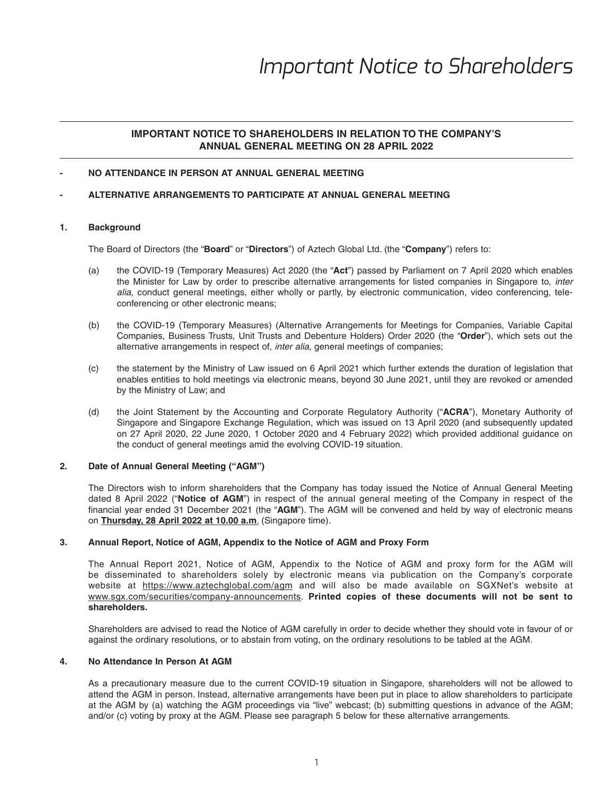## **IMPORTANT NOTICE TO SHAREHOLDERS IN RELATION TO THE COMPANY'S ANNUAL GENERAL MEETING ON 28 APRIL 2022**

### **- NO ATTENDANCE IN PERSON AT ANNUAL GENERAL MEETING**

#### **- ALTERNATIVE ARRANGEMENTS TO PARTICIPATE AT ANNUAL GENERAL MEETING**

### **1. Background**

The Board of Directors (the "**Board**" or "**Directors**") of Aztech Global Ltd. (the "**Company**") refers to:

- (a) the COVID-19 (Temporary Measures) Act 2020 (the "**Act**") passed by Parliament on 7 April 2020 which enables the Minister for Law by order to prescribe alternative arrangements for listed companies in Singapore to, *inter alia*, conduct general meetings, either wholly or partly, by electronic communication, video conferencing, teleconferencing or other electronic means;
- (b) the COVID-19 (Temporary Measures) (Alternative Arrangements for Meetings for Companies, Variable Capital Companies, Business Trusts, Unit Trusts and Debenture Holders) Order 2020 (the "**Order**"), which sets out the alternative arrangements in respect of, *inter alia,* general meetings of companies;
- (c) the statement by the Ministry of Law issued on 6 April 2021 which further extends the duration of legislation that enables entities to hold meetings via electronic means, beyond 30 June 2021, until they are revoked or amended by the Ministry of Law; and
- (d) the Joint Statement by the Accounting and Corporate Regulatory Authority ("**ACRA**"), Monetary Authority of Singapore and Singapore Exchange Regulation, which was issued on 13 April 2020 (and subsequently updated on 27 April 2020, 22 June 2020, 1 October 2020 and 4 February 2022) which provided additional guidance on the conduct of general meetings amid the evolving COVID-19 situation.

#### **2. Date of Annual General Meeting ("AGM")**

 The Directors wish to inform shareholders that the Company has today issued the Notice of Annual General Meeting dated 8 April 2022 ("**Notice of AGM**") in respect of the annual general meeting of the Company in respect of the financial year ended 31 December 2021 (the "AGM"). The AGM will be convened and held by way of electronic means on **Thursday, 28 April 2022 at 10.00 a.m**. (Singapore time).

#### **3. A nnual Report, Notice of AGM, Appendix to the Notice of AGM and Proxy Form**

 The Annual Report 2021, Notice of AGM, Appendix to the Notice of AGM and proxy form for the AGM will be disseminated to shareholders solely by electronic means via publication on the Company's corporate website at https://www.aztechglobal.com/agm and will also be made available on SGXNet's website at www.sgx.com/securities/company-announcements. **Printed copies of these documents will not be sent to shareholders.** 

 Shareholders are advised to read the Notice of AGM carefully in order to decide whether they should vote in favour of or against the ordinary resolutions, or to abstain from voting, on the ordinary resolutions to be tabled at the AGM.

### **4. No Attendance In Person At AGM**

 As a precautionary measure due to the current COVID-19 situation in Singapore, shareholders will not be allowed to attend the AGM in person. Instead, alternative arrangements have been put in place to allow shareholders to participate at the AGM by (a) watching the AGM proceedings via "live" webcast; (b) submitting questions in advance of the AGM; and/or (c) voting by proxy at the AGM. Please see paragraph 5 below for these alternative arrangements.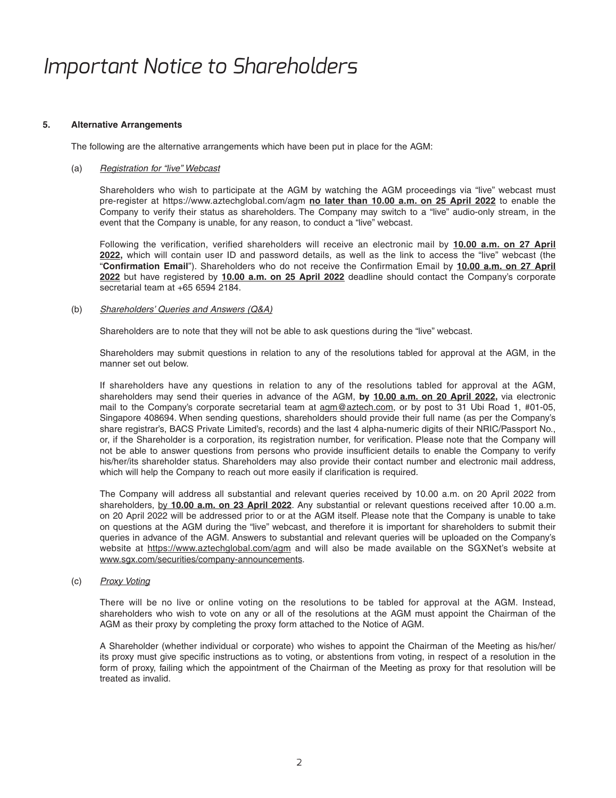#### **5. Alternative Arrangements**

The following are the alternative arrangements which have been put in place for the AGM:

#### (a) *Registration for "live" Webcast*

 Shareholders who wish to participate at the AGM by watching the AGM proceedings via "live" webcast must pre-register at https://www.aztechglobal.com/agm **no later than 10.00 a.m. on 25 April 2022** to enable the Company to verify their status as shareholders. The Company may switch to a "live" audio-only stream, in the event that the Company is unable, for any reason, to conduct a "live" webcast.

Following the verification, verified shareholders will receive an electronic mail by 10.00 a.m. on 27 April **2022,** which will contain user ID and password details, as well as the link to access the "live" webcast (the "Confirmation Email"). Shareholders who do not receive the Confirmation Email by 10.00 a.m. on 27 April **2022** but have registered by **10.00 a.m. on 25 April 2022** deadline should contact the Company's corporate secretarial team at +65 6594 2184.

#### (b) *Shareholders' Queries and Answers (Q&A)*

Shareholders are to note that they will not be able to ask questions during the "live" webcast.

 Shareholders may submit questions in relation to any of the resolutions tabled for approval at the AGM, in the manner set out below.

 If shareholders have any questions in relation to any of the resolutions tabled for approval at the AGM, shareholders may send their queries in advance of the AGM, **by 10.00 a.m. on 20 April 2022,** via electronic mail to the Company's corporate secretarial team at agm@aztech.com, or by post to 31 Ubi Road 1, #01-05, Singapore 408694. When sending questions, shareholders should provide their full name (as per the Company's share registrar's, BACS Private Limited's, records) and the last 4 alpha-numeric digits of their NRIC/Passport No., or, if the Shareholder is a corporation, its registration number, for verification. Please note that the Company will not be able to answer questions from persons who provide insufficient details to enable the Company to verify his/her/its shareholder status. Shareholders may also provide their contact number and electronic mail address, which will help the Company to reach out more easily if clarification is required.

 The Company will address all substantial and relevant queries received by 10.00 a.m. on 20 April 2022 from shareholders, by **10.00 a.m. on 23 April 2022**. Any substantial or relevant questions received after 10.00 a.m. on 20 April 2022 will be addressed prior to or at the AGM itself. Please note that the Company is unable to take on questions at the AGM during the "live" webcast, and therefore it is important for shareholders to submit their queries in advance of the AGM. Answers to substantial and relevant queries will be uploaded on the Company's website at https://www.aztechglobal.com/agm and will also be made available on the SGXNet's website at www.sgx.com/securities/company-announcements.

#### (c) *P roxy Voting*

 There will be no live or online voting on the resolutions to be tabled for approval at the AGM. Instead, shareholders who wish to vote on any or all of the resolutions at the AGM must appoint the Chairman of the AGM as their proxy by completing the proxy form attached to the Notice of AGM.

 A Shareholder (whether individual or corporate) who wishes to appoint the Chairman of the Meeting as his/her/ its proxy must give specific instructions as to voting, or abstentions from voting, in respect of a resolution in the form of proxy, failing which the appointment of the Chairman of the Meeting as proxy for that resolution will be treated as invalid.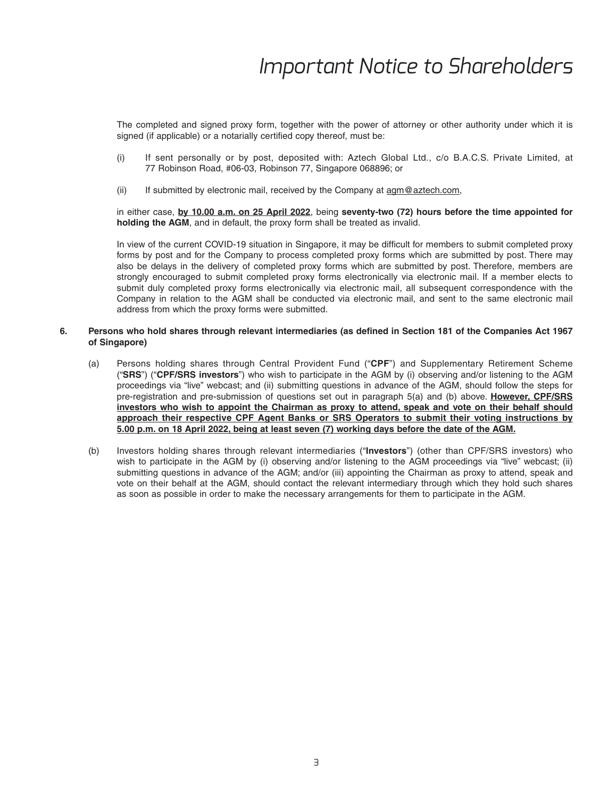The completed and signed proxy form, together with the power of attorney or other authority under which it is signed (if applicable) or a notarially certified copy thereof, must be:

- (i) If sent personally or by post, deposited with: Aztech Global Ltd., c/o B.A.C.S. Private Limited, at 77 Robinson Road, #06-03, Robinson 77, Singapore 068896; or
- (ii) If submitted by electronic mail, received by the Company at  $\frac{a}{\text{arm@}}\text{a}$  ztech.com,

 in either case, **by 10.00 a.m. on 25 April 2022**, being **seventy-two (72) hours before the time appointed for holding the AGM**, and in default, the proxy form shall be treated as invalid.

In view of the current COVID-19 situation in Singapore, it may be difficult for members to submit completed proxy forms by post and for the Company to process completed proxy forms which are submitted by post. There may also be delays in the delivery of completed proxy forms which are submitted by post. Therefore, members are strongly encouraged to submit completed proxy forms electronically via electronic mail. If a member elects to submit duly completed proxy forms electronically via electronic mail, all subsequent correspondence with the Company in relation to the AGM shall be conducted via electronic mail, and sent to the same electronic mail address from which the proxy forms were submitted.

#### 6. Persons who hold shares through relevant intermediaries (as defined in Section 181 of the Companies Act 1967 **of Singapore)**

- (a) Persons holding shares through Central Provident Fund ("**CPF**") and Supplementary Retirement Scheme ("**SRS**") ("**CPF/SRS investors**") who wish to participate in the AGM by (i) observing and/or listening to the AGM proceedings via "live" webcast; and (ii) submitting questions in advance of the AGM, should follow the steps for pre-registration and pre-submission of questions set out in paragraph 5(a) and (b) above. **However, CPF/SRS investors who wish to appoint the Chairman as proxy to attend, speak and vote on their behalf should approach their respective CPF Agent Banks or SRS Operators to submit their voting instructions by 5.00 p.m. on 18 April 2022, being at least seven (7) working days before the date of the AGM.**
- (b) Investors holding shares through relevant intermediaries ("**Investors**") (other than CPF/SRS investors) who wish to participate in the AGM by (i) observing and/or listening to the AGM proceedings via "live" webcast; (ii) submitting questions in advance of the AGM; and/or (iii) appointing the Chairman as proxy to attend, speak and vote on their behalf at the AGM, should contact the relevant intermediary through which they hold such shares as soon as possible in order to make the necessary arrangements for them to participate in the AGM.